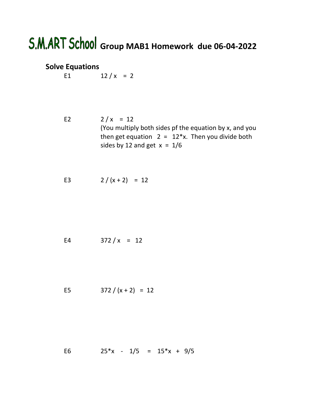## **Group MAB1 Homework due 06-04-2022**

## **Solve Equations**

E1  $12 / x = 2$ 

- E2  $2/x = 12$ (You multiply both sides pf the equation by x, and you then get equation  $2 = 12*x$ . Then you divide both sides by 12 and get  $x = 1/6$
- E3  $2/(x+2) = 12$

E4  $372 / x = 12$ 

E5 
$$
372 / (x + 2) = 12
$$

E6  $25*x - 1/5 = 15*x + 9/5$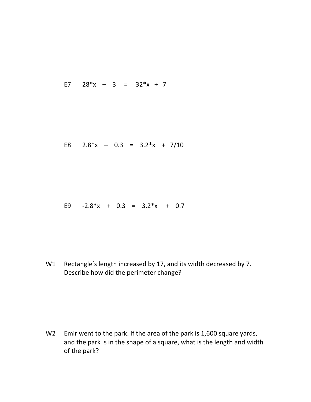E7  $28*x - 3 = 32*x + 7$ 

E8  $2.8*x - 0.3 = 3.2*x + 7/10$ 

E9  $-2.8*x + 0.3 = 3.2*x + 0.7$ 

W1 Rectangle's length increased by 17, and its width decreased by 7. Describe how did the perimeter change?

W2 Emir went to the park. If the area of the park is 1,600 square yards, and the park is in the shape of a square, what is the length and width of the park?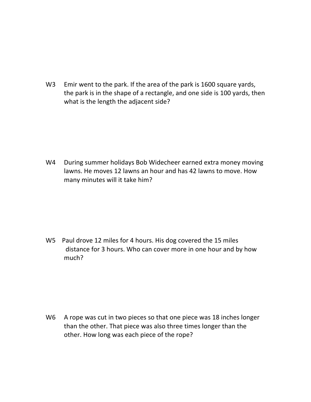W3 Emir went to the park. If the area of the park is 1600 square yards, the park is in the shape of a rectangle, and one side is 100 yards, then what is the length the adjacent side?

W4 During summer holidays Bob Widecheer earned extra money moving lawns. He moves 12 lawns an hour and has 42 lawns to move. How many minutes will it take him?

W5 Paul drove 12 miles for 4 hours. His dog covered the 15 miles distance for 3 hours. Who can cover more in one hour and by how much?

W6 A rope was cut in two pieces so that one piece was 18 inches longer than the other. That piece was also three times longer than the other. How long was each piece of the rope?